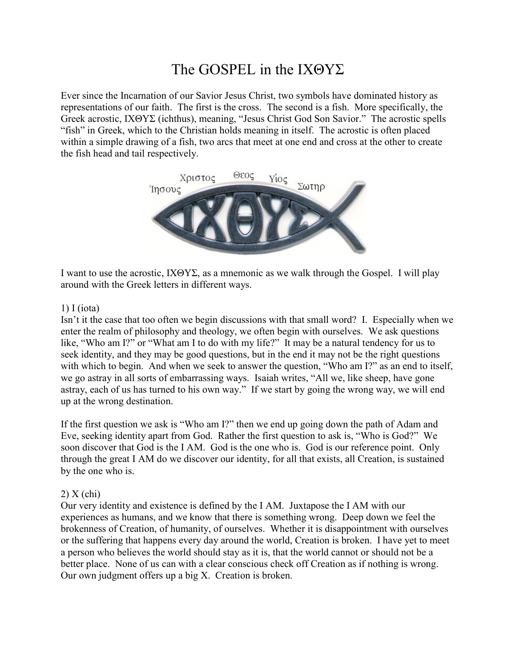# The GOSPEL in the ΙΧΘΥΣ

Ever since the Incarnation of our Savior Jesus Christ, two symbols have dominated history as representations of our faith. The first is the cross. The second is a fish. More specifically, the Greek acrostic, ΙΧΘΥΣ (ichthus), meaning, "Jesus Christ God Son Savior." The acrostic spells "fish" in Greek, which to the Christian holds meaning in itself. The acrostic is often placed within a simple drawing of a fish, two arcs that meet at one end and cross at the other to create the fish head and tail respectively.



I want to use the acrostic, ΙΧΘΥΣ, as a mnemonic as we walk through the Gospel. I will play around with the Greek letters in different ways.

### 1) Ι (iota)

Isn't it the case that too often we begin discussions with that small word? I. Especially when we enter the realm of philosophy and theology, we often begin with ourselves. We ask questions like, "Who am I?" or "What am I to do with my life?" It may be a natural tendency for us to seek identity, and they may be good questions, but in the end it may not be the right questions with which to begin. And when we seek to answer the question, "Who am I?" as an end to itself, we go astray in all sorts of embarrassing ways. Isaiah writes, "All we, like sheep, have gone astray, each of us has turned to his own way." If we start by going the wrong way, we will end up at the wrong destination.

If the first question we ask is "Who am I?" then we end up going down the path of Adam and Eve, seeking identity apart from God. Rather the first question to ask is, "Who is God?" We soon discover that God is the I AM. God is the one who is. God is our reference point. Only through the great I AM do we discover our identity, for all that exists, all Creation, is sustained by the one who is.

## 2) Χ (chi)

Our very identity and existence is defined by the I AM. Juxtapose the I AM with our experiences as humans, and we know that there is something wrong. Deep down we feel the brokenness of Creation, of humanity, of ourselves. Whether it is disappointment with ourselves or the suffering that happens every day around the world, Creation is broken. I have yet to meet a person who believes the world should stay as it is, that the world cannot or should not be a better place. None of us can with a clear conscious check off Creation as if nothing is wrong. Our own judgment offers up a big X. Creation is broken.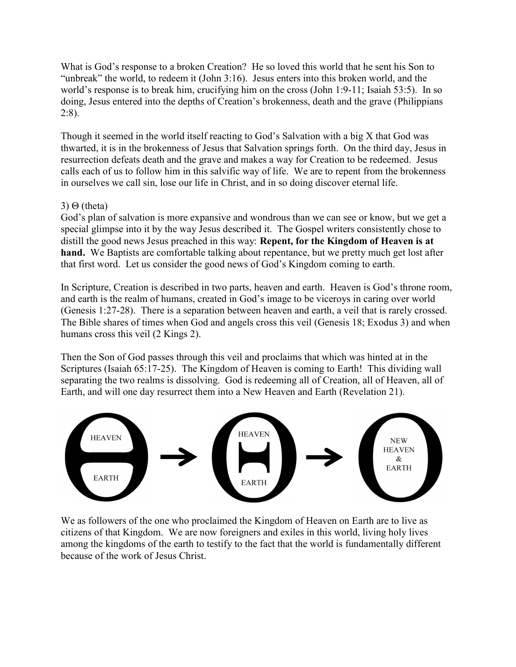What is God's response to a broken Creation? He so loved this world that he sent his Son to "unbreak" the world, to redeem it (John 3:16). Jesus enters into this broken world, and the world's response is to break him, crucifying him on the cross (John 1:9-11; Isaiah 53:5). In so doing, Jesus entered into the depths of Creation's brokenness, death and the grave (Philippians 2:8).

Though it seemed in the world itself reacting to God's Salvation with a big X that God was thwarted, it is in the brokenness of Jesus that Salvation springs forth. On the third day, Jesus in resurrection defeats death and the grave and makes a way for Creation to be redeemed. Jesus calls each of us to follow him in this salvific way of life. We are to repent from the brokenness in ourselves we call sin, lose our life in Christ, and in so doing discover eternal life.

## 3) Θ (theta)

God's plan of salvation is more expansive and wondrous than we can see or know, but we get a special glimpse into it by the way Jesus described it. The Gospel writers consistently chose to distill the good news Jesus preached in this way: Repent, for the Kingdom of Heaven is at hand. We Baptists are comfortable talking about repentance, but we pretty much get lost after that first word. Let us consider the good news of God's Kingdom coming to earth.

In Scripture, Creation is described in two parts, heaven and earth. Heaven is God's throne room, and earth is the realm of humans, created in God's image to be viceroys in caring over world (Genesis 1:27-28). There is a separation between heaven and earth, a veil that is rarely crossed. The Bible shares of times when God and angels cross this veil (Genesis 18; Exodus 3) and when humans cross this veil (2 Kings 2).

Then the Son of God passes through this veil and proclaims that which was hinted at in the Scriptures (Isaiah 65:17-25). The Kingdom of Heaven is coming to Earth! This dividing wall separating the two realms is dissolving. God is redeeming all of Creation, all of Heaven, all of Earth, and will one day resurrect them into a New Heaven and Earth (Revelation 21).



We as followers of the one who proclaimed the Kingdom of Heaven on Earth are to live as citizens of that Kingdom. We are now foreigners and exiles in this world, living holy lives among the kingdoms of the earth to testify to the fact that the world is fundamentally different because of the work of Jesus Christ.